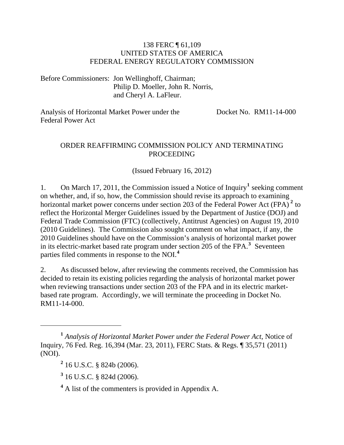#### 138 FERC ¶ 61,109 UNITED STATES OF AMERICA FEDERAL ENERGY REGULATORY COMMISSION

Before Commissioners: Jon Wellinghoff, Chairman; Philip D. Moeller, John R. Norris, and Cheryl A. LaFleur.

Analysis of Horizontal Market Power under the Federal Power Act Docket No. RM11-14-000

#### ORDER REAFFIRMING COMMISSION POLICY AND TERMINATING PROCEEDING

(Issued February 16, 2012)

[1](#page-0-0). On March 17, 2011, the Commission issued a Notice of Inquiry<sup>1</sup> seeking comment on whether, and, if so, how, the Commission should revise its approach to examining horizontal market power concerns under section [2](#page-0-1)03 of the Federal Power Act (FPA)<sup>2</sup> to reflect the Horizontal Merger Guidelines issued by the Department of Justice (DOJ) and Federal Trade Commission (FTC) (collectively, Antitrust Agencies) on August 19, 2010 (2010 Guidelines). The Commission also sought comment on what impact, if any, the 2010 Guidelines should have on the Commission's analysis of horizontal market power in its electric-market based rate program under section 205 of the FPA.**[3](#page-0-2)** Seventeen parties filed comments in response to the NOI.**[4](#page-0-3)**

2. As discussed below, after reviewing the comments received, the Commission has decided to retain its existing policies regarding the analysis of horizontal market power when reviewing transactions under section 203 of the FPA and in its electric marketbased rate program. Accordingly, we will terminate the proceeding in Docket No. RM11-14-000.

 $\overline{a}$ 

<span id="page-0-2"></span>**3** 16 U.S.C. § 824d (2006).

<span id="page-0-3"></span>**4** A list of the commenters is provided in Appendix A.

<span id="page-0-1"></span><span id="page-0-0"></span>**<sup>1</sup>** *Analysis of Horizontal Market Power under the Federal Power Act*, Notice of Inquiry, 76 Fed. Reg. 16,394 (Mar. 23, 2011), FERC Stats. & Regs. ¶ 35,571 (2011) (NOI).

**<sup>2</sup>** 16 U.S.C. § 824b (2006).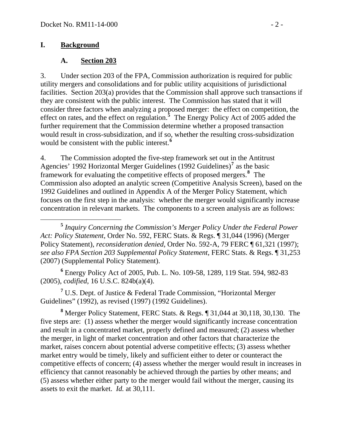#### **I. Background**

#### **A. Section 203**

3. Under section 203 of the FPA, Commission authorization is required for public utility mergers and consolidations and for public utility acquisitions of jurisdictional facilities. Section 203(a) provides that the Commission shall approve such transactions if they are consistent with the public interest. The Commission has stated that it will consider three factors when analyzing a proposed merger: the effect on competition, the effect on rates, and the effect on regulation.**[5](#page-1-0)** The Energy Policy Act of 2005 added the further requirement that the Commission determine whether a proposed transaction would result in cross-subsidization, and if so, whether the resulting cross-subsidization would be consistent with the public interest.**[6](#page-1-1)**

4. The Commission adopted the five-step framework set out in the Antitrust Agencies' 1992 Horizontal Merger Guidelines (1992 Guidelines)**[7](#page-1-2)** as the basic framework for evaluating the competitive effects of proposed mergers.**[8](#page-1-3)** The Commission also adopted an analytic screen (Competitive Analysis Screen), based on the 1992 Guidelines and outlined in Appendix A of the Merger Policy Statement, which focuses on the first step in the analysis: whether the merger would significantly increas e concentration in relevant markets. The components to a screen analysis are as follows:

<span id="page-1-1"></span>**6** Energy Policy Act of 2005, Pub. L. No. 109-58, 1289, 119 Stat. 594, 982-83 (2005), *codified*, 16 U.S.C. 824b(a)(4).

<span id="page-1-2"></span><sup>7</sup> U.S. Dept. of Justice & Federal Trade Commission, "Horizontal Merger Guidelines" (1992), as revised (1997) (1992 Guidelines).

<span id="page-1-3"></span>**8** Merger Policy Statement, FERC Stats. & Regs. ¶ 31,044 at 30,118, 30,130. The five steps are: (1) assess whether the merger would significantly increase concentration and result in a concentrated market, properly defined and measured; (2) assess whether the merger, in light of market concentration and other factors that characterize the market, raises concern about potential adverse competitive effects; (3) assess whether market entry would be timely, likely and sufficient either to deter or counteract the competitive effects of concern; (4) assess whether the merger would result in increases in efficiency that cannot reasonably be achieved through the parties by other means; and (5) assess whether either party to the merger would fail without the merger, causing its assets to exit the market. *Id.* at 30,111.

<span id="page-1-0"></span>**<sup>5</sup>** *Inquiry Concerning the Commission's Merger Policy Under the Federal Power Act: Policy Statement*, Order No. 592, FERC Stats. & Regs. ¶ 31,044 (1996) (Merger Policy Statement), *reconsideration denied*, Order No. 592-A, 79 FERC ¶ 61,321 (1997); *see also FPA Section 203 Supplemental Policy Statement*, FERC Stats. & Regs. ¶ 31,253 (2007) (Supplemental Policy Statement).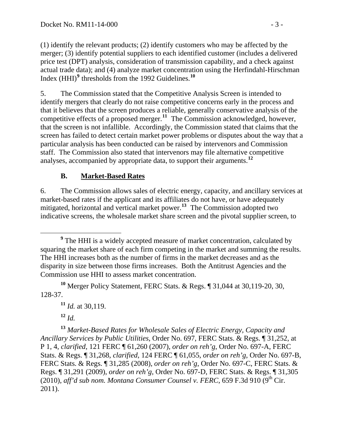(1) identify the relevant products; (2) identify customers who may be affected by the merger; (3) identify potential suppliers to each identified customer (includes a deliver ed price test (DPT) analysis, consideration of transmission capability, and a check against actual trade data); and (4) analyze market concentration using the Herfindahl-Hirschm an Index (HHI)<sup>9</sup> thresholds from the 1992 Guidelines.<sup>10</sup>

5. The Commission stated that the Competitive Analysis Screen is intended to identify mergers that clearly do not raise competitive concerns early in the process and that it believes that the screen produces a reliable, generally conservative analysis of the competitive effects of a proposed merger.**[11](#page-2-0)** The Commission acknowledged, however, that the screen is not infallible. Accordingly, the Commission stated that claims that the screen has failed to detect certain market power problems or disputes about the way that a particular analysis has been conducted can be raised by intervenors and Commission staff. The Commission also stated that intervenors may file alternative competitive analyses, accompanied by appropriate data, to support their arguments.**[12](#page-2-1)**

### **B. Market-Based Rates**

6. The Commission allows sales of electric energy, capacity, and ancillary services at market-based rates if the applicant and its affiliates do not have, or have adequately mitigated, horizontal and vertical market power.<sup>[13](#page-2-2)</sup> The Commission adopted two indicative screens, the wholesale market share screen and the pivotal supplier screen, to

 $12 \, Id.$ 

<span id="page-2-2"></span><span id="page-2-1"></span><span id="page-2-0"></span>**<sup>13</sup>** *Market-Based Rates for Wholesale Sales of Electric Energy, Capacity and Ancillary Services by Public Utilities*, Order No. 697, FERC Stats. & Regs. ¶ 31,252, at P 1, 4, *clarified*, 121 FERC ¶ 61,260 (2007), *order on reh'g*, Order No. 697-A, FERC Stats. & Regs. ¶ 31,268, *clarified*, 124 FERC ¶ 61,055, *order on reh'g*, Order No. 697-B, FERC Stats. & Regs. ¶ 31,285 (2008), *order on reh'g*, Order No. 697-C, FERC Stats. & Regs. ¶ 31,291 (2009), *order on reh'g*, Order No. 697-D, FERC Stats. & Regs. ¶ 31,305  $(2010)$ , *aff'd sub nom. Montana Consumer Counsel v. FERC*, 659 F.3d 910 (9<sup>th</sup> Cir. 2011).

**<sup>9</sup>** <sup>9</sup> The HHI is a widely accepted measure of market concentration, calculated by squaring the market share of each firm competing in the market and summing the results. The HHI increases both as the number of firms in the market decreases and as the disparity in size between those firms increases. Both the Antitrust Agencies and the Commission use HHI to assess market concentration.

**<sup>10</sup>** Merger Policy Statement, FERC Stats. & Regs. ¶ 31,044 at 30,119-20, 30, 128-37.

**<sup>11</sup>** *Id.* at 30,119.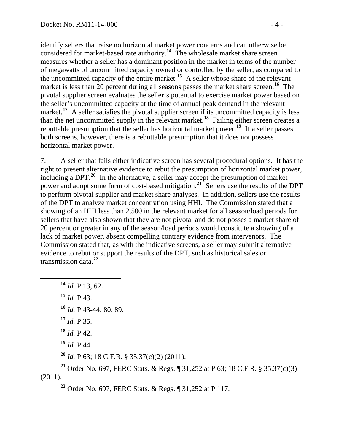identify sellers that raise no horizontal market power concerns and can otherwise be considered for market-based rate authority.**<sup>14</sup>** The wholesale market share screen measures whether a seller has a dominant position in the market in terms of the number of megawatts of uncommitted capacity owned or controlled by the seller, as compared to the uncommitted capacity of the entire market.**<sup>15</sup>** A seller whose share of the relevant market is less than 20 percent during all seasons passes the market share screen.<sup>16</sup> The pivotal supplier screen evaluates the seller's potential to exercise market power based on the seller's uncommitted capacity at the time of annual peak demand in the relevant market.<sup>17</sup> A seller satisfies the pivotal supplier screen if its uncommitted capacity is less than the net uncommitted supply in the relevant market.**<sup>18</sup>** Failing either screen creates a rebuttable presumption that the seller has horizontal market power.**<sup>19</sup>** If a seller passes both screens, however, there is a rebuttable presumption that it does not possess horizontal market power.

7. A seller that fails either indicative screen has several procedural options. It has the right to present alternative evidence to rebut the presumption of horizontal market power, including a DPT.**[20](#page-3-0)** In the alternative, a seller may accept the presumption of market power and adopt some form of cost-based mitigation.**[21](#page-3-1)** Sellers use the results of the DPT to perform pivotal supplier and market share analyses. In addition, sellers use the results of the DPT to analyze market concentration using HHI. The Commission stated that a showing of an HHI less than 2,500 in the relevant market for all season/load periods for sellers that have also shown that they are not pivotal and do not posses a market share of 20 percent or greater in any of the season/load periods would constitute a showing of a lack of market power, absent compelling contrary evidence from intervenors. The Commission stated that, as with the indicative screens, a seller may submit alternative evidence to rebut or support the results of the DPT, such as historical sales or transmission data.**[22](#page-3-2)**

 **<sup>14</sup>** *Id.* P 13, 62. *Id.* P 43. *Id.* P 43-44, 80, 89. *Id.* P 35. *Id.* P 42. *Id.* P 44.

**<sup>20</sup>** *Id.* P 63; 18 C.F.R. § 35.37(c)(2) (2011).

<span id="page-3-2"></span><span id="page-3-1"></span><span id="page-3-0"></span>**<sup>21</sup>** Order No. 697, FERC Stats. & Regs. ¶ 31,252 at P 63; 18 C.F.R. § 35.37(c)(3) (2011).

**<sup>22</sup>** Order No. 697, FERC Stats. & Regs. ¶ 31,252 at P 117.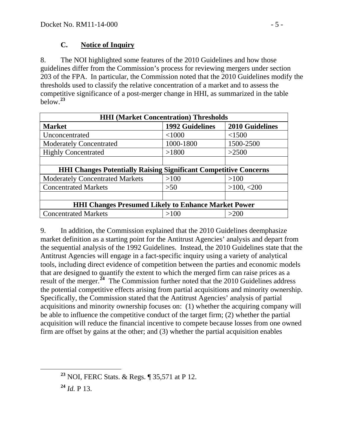### **C. Notice of Inquiry**

8. The NOI highlighted some features of the 2010 Guidelines and how those guidelines differ from the Commission's process for reviewing mergers under section 203 of the FPA. In particular, the Commission noted that the 2010 Guidelines modify the thresholds used to classify the relative concentration of a market and to assess the competitive significance of a post-merger change in HHI, as summarized in the table below.**[23](#page-4-0)**

| <b>HHI (Market Concentration) Thresholds</b>                            |                        |                        |
|-------------------------------------------------------------------------|------------------------|------------------------|
| <b>Market</b>                                                           | <b>1992 Guidelines</b> | <b>2010 Guidelines</b> |
| Unconcentrated                                                          | < 1000                 | <1500                  |
| <b>Moderately Concentrated</b>                                          | 1000-1800              | 1500-2500              |
| <b>Highly Concentrated</b>                                              | >1800                  | >2500                  |
|                                                                         |                        |                        |
| <b>HHI Changes Potentially Raising Significant Competitive Concerns</b> |                        |                        |
| <b>Moderately Concentrated Markets</b>                                  | >100                   | >100                   |
| <b>Concentrated Markets</b>                                             | >50                    | >100, <200             |
|                                                                         |                        |                        |
| <b>HHI Changes Presumed Likely to Enhance Market Power</b>              |                        |                        |
| <b>Concentrated Markets</b>                                             | >100                   | >200                   |

9. In addition, the Commission explained that the 2010 Guidelines deemphasize market definition as a starting point for the Antitrust Agencies' analysis and depart from the sequential analysis of the 1992 Guidelines. Instead, the 2010 Guidelines state that the Antitrust Agencies will engage in a fact-specific inquiry using a variety of analytical tools, including direct evidence of competition between the parties and economic models that are designed to quantify the extent to which the merged firm can raise prices as a result of the merger.**[24](#page-4-1)** The Commission further noted that the 2010 Guidelines address the potential competitive effects arising from partial acquisitions and minority ownership. Specifically, the Commission stated that the Antitrust Agencies' analysis of partial acquisitions and minority ownership focuses on: (1) whether the acquiring company will be able to influence the competitive conduct of the target firm; (2) whether the partial acquisition will reduce the financial incentive to compete because losses from one owned firm are offset by gains at the other; and (3) whether the partial acquisition enables

<span id="page-4-1"></span>**<sup>24</sup>** *Id.* P 13.

<span id="page-4-0"></span>**<sup>23</sup>** NOI, FERC Stats. & Regs. ¶ 35,571 at P 12.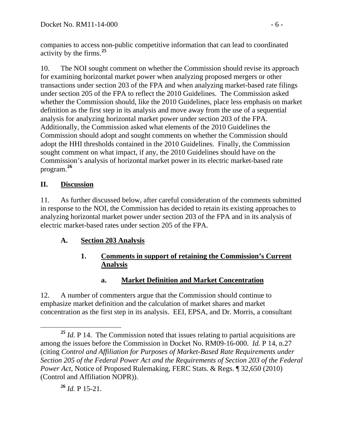companies to access non-public competitive information that can lead to coordinated activity by the firms.**<sup>25</sup>**

10. The NOI sought comment on whether the Commission should revise its approach for examining horizontal market power when analyzing proposed mergers or other transactions under section 203 of the FPA and when analyzing market-based rate filings under section 205 of the FPA to reflect the 2010 Guidelines. The Commission asked whether the Commission should, like the 2010 Guidelines, place less emphasis on market definition as the first step in its analysis and move away from the use of a sequential analysis for analyzing horizontal market power under section 203 of the FPA. Additionally, the Commission asked what elements of the 2010 Guidelines the Commission should adopt and sought comments on whether the Commission should adopt the HHI thresholds contained in the 2010 Guidelines. Finally, the Commission sought comment on what impact, if any, the 2010 Guidelines should have on the Commission's analysis of horizontal market power in its electric market-based rate program.**[26](#page-5-0)**

## **II. Discussion**

11. As further discussed below, after careful consideration of the comments submitted in response to the NOI, the Commission has decided to retain its existing approaches to analyzing horizontal market power under section 203 of the FPA and in its analysis of electric market-based rates under section 205 of the FPA.

# **A. Section 203 Analysis**

### **1. Comments in support of retaining the Commission's Current Analysis**

## **a. Market Definition and Market Concentration**

12. A number of commenters argue that the Commission should continue to emphasize market definition and the calculation of market shares and market concentration as the first step in its analysis. EEI, EPSA, and Dr. Morris, a consultant

<span id="page-5-0"></span>**<sup>26</sup>** *Id.* P 15-21.

<sup>&</sup>lt;sup>25</sup> *Id.* P 14. The Commission noted that issues relating to partial acquisitions are among the issues before the Commission in Docket No. RM09-16-000. *Id.* P 14, n.27 (citing *Control and Affiliation for Purposes of Market-Based Rate Requirements under Section 205 of the Federal Power Act and the Requirements of Section 203 of the Federal Power Act*, Notice of Proposed Rulemaking, FERC Stats. & Regs. ¶ 32,650 (2010) (Control and Affiliation NOPR)).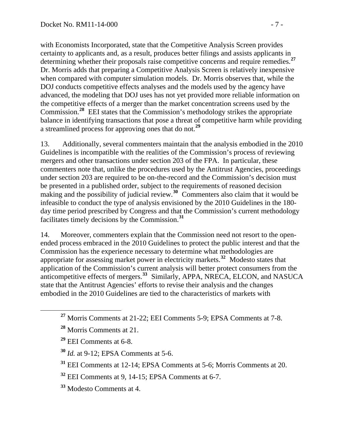with Economists Incorporated, state that the Competitive Analysis Screen provides certainty to applicants and, as a result, produces better filings and assists applicants in determining whether their proposals raise competitive concerns and require remedies.**<sup>27</sup>** Dr. Morris adds that preparing a Competitive Analysis Screen is relatively inexpensive when compared with computer simulation models. Dr. Morris observes that, while the DOJ conducts competitive effects analyses and the models used by the agency have advanced, the modeling that DOJ uses has not yet provided more reliable information on the competitive effects of a merger than the market concentration screens used by the Commission.**<sup>28</sup>** EEI states that the Commission's methodology strikes the appropriate balance in identifying transactions that pose a threat of competitive harm while providing a streamlined process for approving ones that do not.**<sup>29</sup>**

13. Additionally, several commenters maintain that the analysis embodied in the 2010 Guidelines is incompatible with the realities of the Commission's process of reviewing mergers and other transactions under section 203 of the FPA. In particular, these commenters note that, unlike the procedures used by the Antitrust Agencies, proceedings under section 203 are required to be on-the-record and the Commission's decision must be presented in a published order, subject to the requirements of reasoned decision making and the possibility of judicial review.<sup>[30](#page-6-0)</sup> Commenters also claim that it would be infeasible to conduct the type of analysis envisioned by the 2010 Guidelines in the 180 day time period prescribed by Congress and that the Commission's current methodology facilitates timely decisions by the Commission.**[31](#page-6-1)**

14. Moreover, commenters explain that the Commission need not resort to the openended process embraced in the 2010 Guidelines to protect the public interest and that the Commission has the experience necessary to determine what methodologies are appropriate for assessing market power in electricity markets.**[32](#page-6-2)** Modesto states that application of the Commission's current analysis will better protect consumers from the anticompetitive effects of mergers.**[33](#page-6-3)** Similarly, APPA, NRECA, ELCON, and NASUCA state that the Antitrust Agencies' efforts to revise their analysis and the changes embodied in the 2010 Guidelines are tied to the characteristics of markets with

**<sup>27</sup>** Morris Comments at 21-22; EEI Comments 5-9; EPSA Comments at 7-8.

**<sup>28</sup>** Morris Comments at 21.

**<sup>29</sup>** EEI Comments at 6-8.

**<sup>30</sup>** *Id.* at 9-12; EPSA Comments at 5-6.

<span id="page-6-1"></span><span id="page-6-0"></span>**<sup>31</sup>** EEI Comments at 12-14; EPSA Comments at 5-6; Morris Comments at 20.

<span id="page-6-2"></span>**<sup>32</sup>** EEI Comments at 9, 14-15; EPSA Comments at 6-7.

<span id="page-6-3"></span>**<sup>33</sup>** Modesto Comments at 4.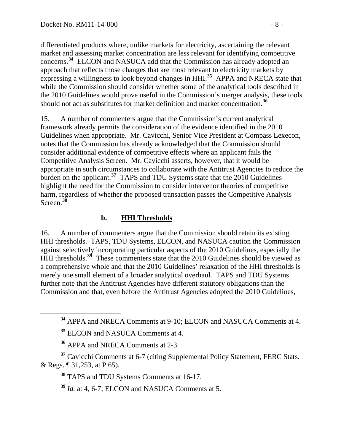differentiated products where, unlike markets for electricity, ascertaining the relevant market and assessing market concentration are less relevant for identifying competitive concerns.**<sup>34</sup>** ELCON and NASUCA add that the Commission has already adopted an approach that reflects those changes that are most relevant to electricity markets by expressing a willingness to look beyond changes in HHI.**<sup>35</sup>** APPA and NRECA state that while the Commission should consider whether some of the analytical tools described in the 2010 Guidelines would prove useful in the Commission's merger analysis, these tools should not act as substitutes for market definition and market concentration.**<sup>36</sup>**

15. A number of commenters argue that the Commission's current analytical framework already permits the consideration of the evidence identified in the 2010 Guidelines when appropriate. Mr. Cavicchi, Senior Vice President at Compass Lexecon, notes that the Commission has already acknowledged that the Commission should consider additional evidence of competitive effects where an applicant fails the Competitive Analysis Screen. Mr. Cavicchi asserts, however, that it would be appropriate in such circumstances to collaborate with the Antitrust Agencies to reduce the burden on the applicant.**[37](#page-7-0)** TAPS and TDU Systems state that the 2010 Guidelines highlight the need for the Commission to consider intervenor theories of competitive harm, regardless of whether the proposed transaction passes the Competitive Analysis Screen.**[38](#page-7-1)**

### **b. HHI Thresholds**

16. A number of commenters argue that the Commission should retain its existing HHI thresholds. TAPS, TDU Systems, ELCON, and NASUCA caution the Commission against selectively incorporating particular aspects of the 2010 Guidelines, especially the HHI thresholds.<sup>[39](#page-7-2)</sup> These commenters state that the 2010 Guidelines should be viewed as a comprehensive whole and that the 2010 Guidelines' relaxation of the HHI thresholds is merely one small element of a broader analytical overhaul. TAPS and TDU Systems further note that the Antitrust Agencies have different statutory obligations than the Commission and that, even before the Antitrust Agencies adopted the 2010 Guidelines,

**<sup>34</sup>** APPA and NRECA Comments at 9-10; ELCON and NASUCA Comments at 4.

**<sup>35</sup>** ELCON and NASUCA Comments at 4.

**<sup>36</sup>** APPA and NRECA Comments at 2-3.

<span id="page-7-2"></span><span id="page-7-1"></span><span id="page-7-0"></span>**<sup>37</sup>** Cavicchi Comments at 6-7 (citing Supplemental Policy Statement, FERC Stats. & Regs. ¶ 31,253, at P 65).

**<sup>38</sup>** TAPS and TDU Systems Comments at 16-17.

**<sup>39</sup>** *Id.* at 4, 6-7; ELCON and NASUCA Comments at 5.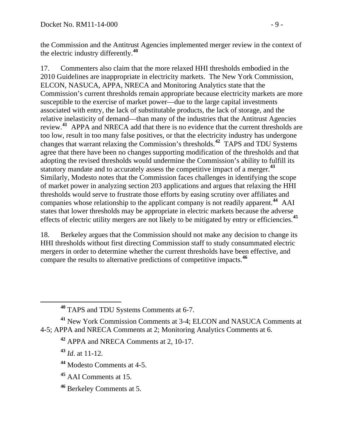the Commission and the Antitrust Agencies implemented merger review in the context of the electric industry differently.**<sup>40</sup>**

17. Commenters also claim that the more relaxed HHI thresholds embodied in the 2010 Guidelines are inappropriate in electricity markets. The New York Commission, ELCON, NASUCA, APPA, NRECA and Monitoring Analytics state that the Commission's current thresholds remain appropriate because electricity markets are more susceptible to the exercise of market power—due to the large capital investments associated with entry, the lack of substitutable products, the lack of storage, and the relative inelasticity of demand—than many of the industries that the Antitrust Agencies review.**[41](#page-8-0)** APPA and NRECA add that there is no evidence that the current thresholds are too low, result in too many false positives, or that the electricity industry has undergone changes that warrant relaxing the Commission's thresholds.**[42](#page-8-1)** TAPS and TDU Systems agree that there have been no changes supporting modification of the thresholds and that adopting the revised thresholds would undermine the Commission's ability to fulfill its statutory mandate and to accurately assess the competitive impact of a merger.**[43](#page-8-2)** Similarly, Modesto notes that the Commission faces challenges in identifying the scope of market power in analyzing section 203 applications and argues that relaxing the HHI thresholds would serve to frustrate those efforts by easing scrutiny over affiliates and companies whose relationship to the applicant company is not readily apparent.**[44](#page-8-3)** AAI states that lower thresholds may be appropriate in electric markets because the adverse effects of electric utility mergers are not likely to be mitigated by entry or efficiencies.**[45](#page-8-4)**

18. Berkeley argues that the Commission should not make any decision to change its HHI thresholds without first directing Commission staff to study consummated electric mergers in order to determine whether the current thresholds have been effective, and compare the results to alternative predictions of competitive impacts.**[46](#page-8-5)**

**<sup>42</sup>** APPA and NRECA Comments at 2, 10-17.

**<sup>43</sup>** *Id*. at 11-12*.* 

- <span id="page-8-3"></span>**<sup>44</sup>** Modesto Comments at 4-5.
- <span id="page-8-4"></span>**<sup>45</sup>** AAI Comments at 15.
- <span id="page-8-5"></span>**<sup>46</sup>** Berkeley Comments at 5.

**<sup>40</sup>** TAPS and TDU Systems Comments at 6-7.

<span id="page-8-2"></span><span id="page-8-1"></span><span id="page-8-0"></span>**<sup>41</sup>** New York Commission Comments at 3-4; ELCON and NASUCA Comments at 4-5; APPA and NRECA Comments at 2; Monitoring Analytics Comments at 6.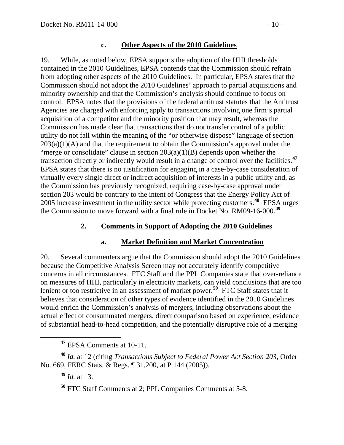#### **c. Other Aspects of the 2010 Guidelines**

19. While, as noted below, EPSA supports the adoption of the HHI thresholds contained in the 2010 Guidelines, EPSA contends that the Commission should refrain from adopting other aspects of the 2010 Guidelines. In particular, EPSA states that the Commission should not adopt the 2010 Guidelines' approach to partial acquisitions and minority ownership and that the Commission's analysis should continue to focus on control. EPSA notes that the provisions of the federal antitrust statutes that the Antitrust Agencies are charged with enforcing apply to transactions involving one firm's partial acquisition of a competitor and the minority position that may result, whereas the Commission has made clear that transactions that do not transfer control of a public utility do not fall within the meaning of the "or otherwise dispose" language of section  $203(a)(1)(A)$  and that the requirement to obtain the Commission's approval under the "merge or consolidate" clause in section  $203(a)(1)(B)$  depends upon whether the transaction directly or indirectly would result in a change of control over the facilities.**[47](#page-9-0)** EPSA states that there is no justification for engaging in a case-by-case consideration of virtually every single direct or indirect acquisition of interests in a public utility and, as the Commission has previously recognized, requiring case-by-case approval under section 203 would be contrary to the intent of Congress that the Energy Policy Act of 2005 increase investment in the utility sector while protecting customers.**[48](#page-9-1)** EPSA urges the Commission to move forward with a final rule in Docket No. RM09-16-000.**[49](#page-9-2)**

### **2. Comments in Support of Adopting the 2010 Guidelines**

### **a. Market Definition and Market Concentration**

20. Several commenters argue that the Commission should adopt the 2010 Guidelines because the Competitive Analysis Screen may not accurately identify competitive concerns in all circumstances. FTC Staff and the PPL Companies state that over-reliance on measures of HHI, particularly in electricity markets, can yield conclusions that are too lenient or too restrictive in an assessment of market power.<sup>[50](#page-9-3)</sup> FTC Staff states that it believes that consideration of other types of evidence identified in the 2010 Guidelines would enrich the Commission's analysis of mergers, including observations about the actual effect of consummated mergers, direct comparison based on experience, evidence of substantial head-to-head competition, and the potentially disruptive role of a merging

**<sup>47</sup>** EPSA Comments at 10-11.

<span id="page-9-3"></span><span id="page-9-2"></span><span id="page-9-1"></span><span id="page-9-0"></span>**<sup>48</sup>** *Id.* at 12 (citing *Transactions Subject to Federal Power Act Section 203*, Order No. 669, FERC Stats. & Regs. ¶ 31,200, at P 144 (2005)).

**<sup>49</sup>** *Id.* at 13.

**<sup>50</sup>** FTC Staff Comments at 2; PPL Companies Comments at 5-8.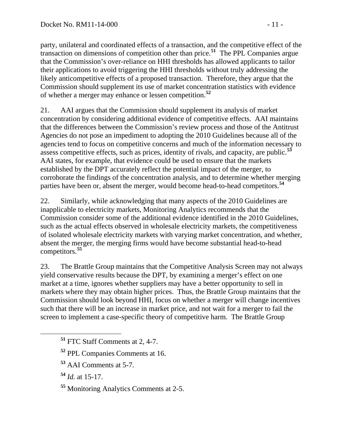party, unilateral and coordinated effects of a transaction, and the competitive effect of the transaction on dimensions of competition other than price.**<sup>51</sup>** The PPL Companies argue that the Commission's over-reliance on HHI thresholds has allowed applicants to tailor their applications to avoid triggering the HHI thresholds without truly addressing the likely anticompetitive effects of a proposed transaction. Therefore, they argue that the Commission should supplement its use of market concentration statistics with evidence of whether a merger may enhance or lessen competition.**<sup>52</sup>**

21. AAI argues that the Commission should supplement its analysis of market concentration by considering additional evidence of competitive effects. AAI maintains that the differences between the Commission's review process and those of the Antitrust Agencies do not pose an impediment to adopting the 2010 Guidelines because all of the agencies tend to focus on competitive concerns and much of the information necessary to assess competitive effects, such as prices, identity of rivals, and capacity, are public.**[53](#page-10-0)** AAI states, for example, that evidence could be used to ensure that the markets established by the DPT accurately reflect the potential impact of the merger, to corroborate the findings of the concentration analysis, and to determine whether merging parties have been or, absent the merger, would become head-to-head competitors.**[54](#page-10-1)**

22. Similarly, while acknowledging that many aspects of the 2010 Guidelines are inapplicable to electricity markets, Monitoring Analytics recommends that the Commission consider some of the additional evidence identified in the 2010 Guidelines, such as the actual effects observed in wholesale electricity markets, the competitiveness of isolated wholesale electricity markets with varying market concentration, and whether, absent the merger, the merging firms would have become substantial head-to-head competitors.**[55](#page-10-2)**

23. The Brattle Group maintains that the Competitive Analysis Screen may not always yield conservative results because the DPT, by examining a merger's effect on one market at a time, ignores whether suppliers may have a better opportunity to sell in markets where they may obtain higher prices. Thus, the Brattle Group maintains that the Commission should look beyond HHI, focus on whether a merger will change incentives such that there will be an increase in market price, and not wait for a merger to fail the screen to implement a case-specific theory of competitive harm. The Brattle Group

**<sup>51</sup>** FTC Staff Comments at 2, 4-7.

**<sup>52</sup>** PPL Companies Comments at 16.

**<sup>53</sup>** AAI Comments at 5-7.

<span id="page-10-1"></span><span id="page-10-0"></span>**<sup>54</sup>** *Id.* at 15-17.

<span id="page-10-2"></span>**<sup>55</sup>** Monitoring Analytics Comments at 2-5.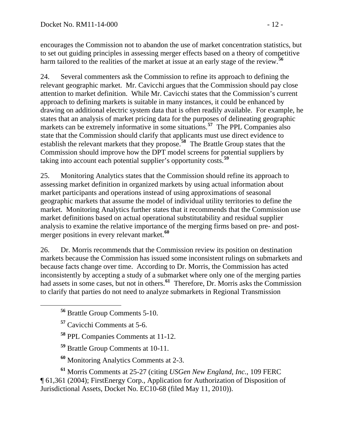encourages the Commission not to abandon the use of market concentration statistics, but to set out guiding principles in assessing merger effects based on a theory of competitive harm tailored to the realities of the market at issue at an early stage of the review.**<sup>56</sup>**

24. Several commenters ask the Commission to refine its approach to defining the relevant geographic market. Mr. Cavicchi argues that the Commission should pay close attention to market definition. While Mr. Cavicchi states that the Commission's current approach to defining markets is suitable in many instances, it could be enhanced by drawing on additional electric system data that is often readily available. For example, he states that an analysis of market pricing data for the purposes of delineating geographic markets can be extremely informative in some situations.<sup>[57](#page-11-0)</sup> The PPL Companies also state that the Commission should clarify that applicants must use direct evidence to establish the relevant markets that they propose.**[58](#page-11-1)** The Brattle Group states that the Commission should improve how the DPT model screens for potential suppliers by taking into account each potential supplier's opportunity costs.**[59](#page-11-2)**

25. Monitoring Analytics states that the Commission should refine its approach to assessing market definition in organized markets by using actual information about market participants and operations instead of using approximations of seasonal geographic markets that assume the model of individual utility territories to define the market. Monitoring Analytics further states that it recommends that the Commission use market definitions based on actual operational substitutability and residual supplier analysis to examine the relative importance of the merging firms based on pre- and postmerger positions in every relevant market.**[60](#page-11-3)**

26. Dr. Morris recommends that the Commission review its position on destination markets because the Commission has issued some inconsistent rulings on submarkets and because facts change over time. According to Dr. Morris, the Commission has acted inconsistently by accepting a study of a submarket where only one of the merging parties had assets in some cases, but not in others.<sup>[61](#page-11-4)</sup> Therefore, Dr. Morris asks the Commission to clarify that parties do not need to analyze submarkets in Regional Transmission

- **<sup>57</sup>** Cavicchi Comments at 5-6.
- **<sup>58</sup>** PPL Companies Comments at 11-12.
- **<sup>59</sup>** Brattle Group Comments at 10-11.
- **<sup>60</sup>** Monitoring Analytics Comments at 2-3.

<span id="page-11-4"></span><span id="page-11-3"></span><span id="page-11-2"></span><span id="page-11-1"></span><span id="page-11-0"></span>**<sup>61</sup>** Morris Comments at 25-27 (citing *USGen New England, Inc.*, 109 FERC ¶ 61,361 (2004); FirstEnergy Corp., Application for Authorization of Disposition of Jurisdictional Assets, Docket No. EC10-68 (filed May 11, 2010)).

**<sup>56</sup>** Brattle Group Comments 5-10.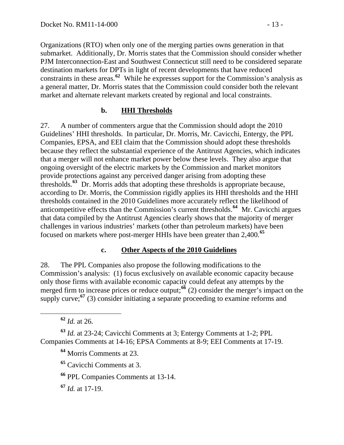Organizations (RTO) when only one of the merging parties owns generation in that submarket. Additionally, Dr. Morris states that the Commission should consider whether PJM Interconnection-East and Southwest Connecticut still need to be considered separate destination markets for DPTs in light of recent developments that have reduced constraints in these areas.**<sup>62</sup>** While he expresses support for the Commission's analysis as a general matter, Dr. Morris states that the Commission could consider both the relevant market and alternate relevant markets created by regional and local constraints.

### **b. HHI Thresholds**

27. A number of commenters argue that the Commission should adopt the 2010 Guidelines' HHI thresholds. In particular, Dr. Morris, Mr. Cavicchi, Entergy, the PPL Companies, EPSA, and EEI claim that the Commission should adopt these thresholds because they reflect the substantial experience of the Antitrust Agencies, which indicates that a merger will not enhance market power below these levels. They also argue that ongoing oversight of the electric markets by the Commission and market monitors provide protections against any perceived danger arising from adopting these thresholds.**[63](#page-12-0)** Dr. Morris adds that adopting these thresholds is appropriate because, according to Dr. Morris, the Commission rigidly applies its HHI thresholds and the HHI thresholds contained in the 2010 Guidelines more accurately reflect the likelihood of anticompetitive effects than the Commission's current thresholds.**[64](#page-12-1)** Mr. Cavicchi argues that data compiled by the Antitrust Agencies clearly shows that the majority of merger challenges in various industries' markets (other than petroleum markets) have been focused on markets where post-merger HHIs have been greater than 2,400.**[65](#page-12-2)**

#### **c. Other Aspects of the 2010 Guidelines**

28. The PPL Companies also propose the following modifications to the Commission's analysis: (1) focus exclusively on available economic capacity because only those firms with available economic capacity could defeat any attempts by the merged firm to increase prices or reduce output;<sup>[66](#page-12-3)</sup> (2) consider the merger's impact on the supply curve;<sup>[67](#page-12-4)</sup> (3) consider initiating a separate proceeding to examine reforms and

**<sup>62</sup>** *Id.* at 26.

<span id="page-12-2"></span><span id="page-12-1"></span><span id="page-12-0"></span>**<sup>63</sup>** *Id.* at 23-24; Cavicchi Comments at 3; Entergy Comments at 1-2; PPL Companies Comments at 14-16; EPSA Comments at 8-9; EEI Comments at 17-19.

**<sup>64</sup>** Morris Comments at 23.

**<sup>65</sup>** Cavicchi Comments at 3.

<span id="page-12-3"></span>**<sup>66</sup>** PPL Companies Comments at 13-14.

<span id="page-12-4"></span>**<sup>67</sup>** *Id.* at 17-19.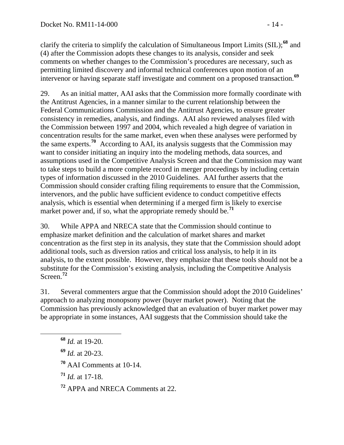clarify the criteria to simplify the calculation of Simultaneous Import Limits (SIL);**<sup>68</sup>** and (4) after the Commission adopts these changes to its analysis, consider and seek comments on whether changes to the Commission's procedures are necessary, such as permitting limited discovery and informal technical conferences upon motion of an intervenor or having separate staff investigate and comment on a proposed transaction.**<sup>69</sup>**

29. As an initial matter, AAI asks that the Commission more formally coordinate with the Antitrust Agencies, in a manner similar to the current relationship between the Federal Communications Commission and the Antitrust Agencies, to ensure greater consistency in remedies, analysis, and findings. AAI also reviewed analyses filed with the Commission between 1997 and 2004, which revealed a high degree of variation in concentration results for the same market, even when these analyses were performed by the same experts.**[70](#page-13-0)** According to AAI, its analysis suggests that the Commission may want to consider initiating an inquiry into the modeling methods, data sources, and assumptions used in the Competitive Analysis Screen and that the Commission may want to take steps to build a more complete record in merger proceedings by including certain types of information discussed in the 2010 Guidelines. AAI further asserts that the Commission should consider crafting filing requirements to ensure that the Commission, intervenors, and the public have sufficient evidence to conduct competitive effects analysis, which is essential when determining if a merged firm is likely to exercise market power and, if so, what the appropriate remedy should be.<sup>[71](#page-13-1)</sup>

30. While APPA and NRECA state that the Commission should continue to emphasize market definition and the calculation of market shares and market concentration as the first step in its analysis, they state that the Commission should adopt additional tools, such as diversion ratios and critical loss analysis, to help it in its analysis, to the extent possible. However, they emphasize that these tools should not be a substitute for the Commission's existing analysis, including the Competitive Analysis Screen.**[72](#page-13-2)**

31. Several commenters argue that the Commission should adopt the 2010 Guidelines' approach to analyzing monopsony power (buyer market power). Noting that the Commission has previously acknowledged that an evaluation of buyer market power may be appropriate in some instances, AAI suggests that the Commission should take the

- **<sup>68</sup>** *Id.* at 19-20.
- **<sup>69</sup>** *Id.* at 20-23.
- <span id="page-13-0"></span>**<sup>70</sup>** AAI Comments at 10-14.
- <span id="page-13-1"></span>**<sup>71</sup>** *Id.* at 17-18.

<span id="page-13-2"></span>**<sup>72</sup>** APPA and NRECA Comments at 22.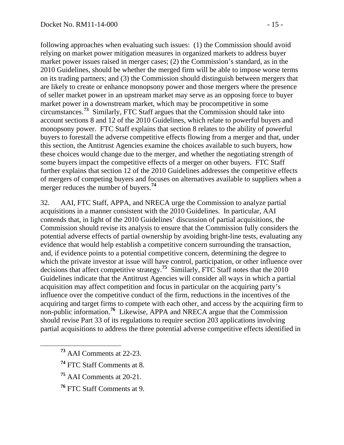following approaches when evaluating such issues: (1) the Commission should avoid relying on market power mitigation measures in organized markets to address buyer market power issues raised in merger cases; (2) the Commission's standard, as in the 2010 Guidelines, should be whether the merged firm will be able to impose worse terms on its trading partners; and (3) the Commission should distinguish between mergers that are likely to create or enhance monopsony power and those mergers where the presence of seller market power in an upstream market may serve as an opposing force to buyer market power in a downstream market, which may be procompetitive in some circumstances.**<sup>73</sup>** Similarly, FTC Staff argues that the Commission should take into account sections 8 and 12 of the 2010 Guidelines, which relate to powerful buyers and monopsony power. FTC Staff explains that section 8 relates to the ability of powerful buyers to forestall the adverse competitive effects flowing from a merger and that, under this section, the Antitrust Agencies examine the choices available to such buyers, how these choices would change due to the merger, and whether the negotiating strength of some buyers impact the competitive effects of a merger on other buyers. FTC Staff further explains that section 12 of the 2010 Guidelines addresses the competitive effects of mergers of competing buyers and focuses on alternatives available to suppliers when a merger reduces the number of buyers.**<sup>74</sup>**

32. AAI, FTC Staff, APPA, and NRECA urge the Commission to analyze partial acquisitions in a manner consistent with the 2010 Guidelines. In particular, AAI contends that, in light of the 2010 Guidelines' discussion of partial acquisitions, the Commission should revise its analysis to ensure that the Commission fully considers the potential adverse effects of partial ownership by avoiding bright-line tests, evaluating any evidence that would help establish a competitive concern surrounding the transaction, and, if evidence points to a potential competitive concern, determining the degree to which the private investor at issue will have control, participation, or other influence over decisions that affect competitive strategy.**[75](#page-14-0)** Similarly, FTC Staff notes that the 2010 Guidelines indicate that the Antitrust Agencies will consider all ways in which a partial acquisition may affect competition and focus in particular on the acquiring party's influence over the competitive conduct of the firm, reductions in the incentives of the acquiring and target firms to compete with each other, and access by the acquiring firm to non-public information.**[76](#page-14-1)** Likewise, APPA and NRECA argue that the Commission should revise Part 33 of its regulations to require section 203 applications involving partial acquisitions to address the three potential adverse competitive effects identified in

- **<sup>73</sup>** AAI Comments at 22-23.
- **<sup>74</sup>** FTC Staff Comments at 8.
- <span id="page-14-0"></span>**<sup>75</sup>** AAI Comments at 20-21.
- <span id="page-14-1"></span>**<sup>76</sup>** FTC Staff Comments at 9.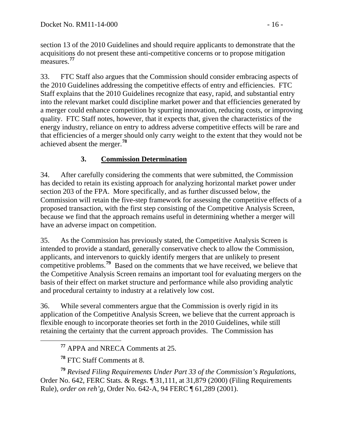section 13 of the 2010 Guidelines and should require applicants to demonstrate that the acquisitions do not present these anti-competitive concerns or to propose mitigation measures.**<sup>77</sup>**

33. FTC Staff also argues that the Commission should consider embracing aspects of the 2010 Guidelines addressing the competitive effects of entry and efficiencies. FTC Staff explains that the 2010 Guidelines recognize that easy, rapid, and substantial entry into the relevant market could discipline market power and that efficiencies generated by a merger could enhance competition by spurring innovation, reducing costs, or improving quality. FTC Staff notes, however, that it expects that, given the characteristics of the energy industry, reliance on entry to address adverse competitive effects will be rare and that efficiencies of a merger should only carry weight to the extent that they would not be achieved absent the merger.**[78](#page-15-0)**

## **3. Commission Determination**

34. After carefully considering the comments that were submitted, the Commission has decided to retain its existing approach for analyzing horizontal market power under section 203 of the FPA. More specifically, and as further discussed below, the Commission will retain the five-step framework for assessing the competitive effects of a proposed transaction, with the first step consisting of the Competitive Analysis Screen, because we find that the approach remains useful in determining whether a merger will have an adverse impact on competition.

35. As the Commission has previously stated, the Competitive Analysis Screen is intended to provide a standard, generally conservative check to allow the Commission, applicants, and intervenors to quickly identify mergers that are unlikely to present competitive problems.<sup>[79](#page-15-1)</sup> Based on the comments that we have received, we believe that the Competitive Analysis Screen remains an important tool for evaluating mergers on the basis of their effect on market structure and performance while also providing analytic and procedural certainty to industry at a relatively low cost.

36. While several commenters argue that the Commission is overly rigid in its application of the Competitive Analysis Screen, we believe that the current approach is flexible enough to incorporate theories set forth in the 2010 Guidelines, while still retaining the certainty that the current approach provides. The Commission has

**<sup>77</sup>** APPA and NRECA Comments at 25.

**<sup>78</sup>** FTC Staff Comments at 8.

<span id="page-15-1"></span><span id="page-15-0"></span>**<sup>79</sup>** *Revised Filing Requirements Under Part 33 of the Commission's Regulations*, Order No. 642, FERC Stats. & Regs. ¶ 31,111, at 31,879 (2000) (Filing Requirements Rule), *order on reh'g*, Order No. 642-A, 94 FERC ¶ 61,289 (2001).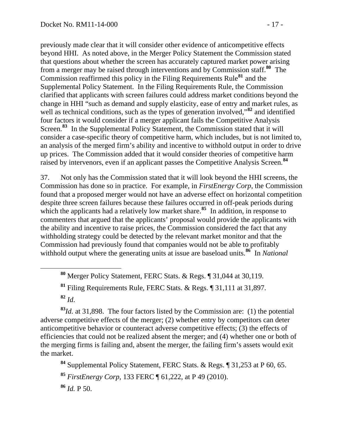previously made clear that it will consider other evidence of anticompetitive effects beyond HHI. As noted above, in the Merger Policy Statement the Commission stated that questions about whether the screen has accurately captured market power arising from a merger may be raised through interventions and by Commission staff.**<sup>80</sup>** The Commission reaffirmed this policy in the Filing Requirements Rule**<sup>81</sup>** and the Supplemental Policy Statement. In the Filing Requirements Rule, the Commission clarified that applicants with screen failures could address market conditions beyond the change in HHI "such as demand and supply elasticity, ease of entry and market rules, as well as technical conditions, such as the types of generation involved,<sup>82</sup> and identified four factors it would consider if a merger applicant fails the Competitive Analysis Screen.**<sup>83</sup>** In the Supplemental Policy Statement, the Commission stated that it will consider a case-specific theory of competitive harm, which includes, but is not limited to, an analysis of the merged firm's ability and incentive to withhold output in order to drive up prices. The Commission added that it would consider theories of competitive harm raised by intervenors, even if an applicant passes the Competitive Analysis Screen.**<sup>84</sup>**

37. Not only has the Commission stated that it will look beyond the HHI screens, the Commission has done so in practice. For example, in *FirstEnergy Corp*, the Commission found that a proposed merger would not have an adverse effect on horizontal competition despite three screen failures because these failures occurred in off-peak periods during which the applicants had a relatively low market share.<sup>[85](#page-16-0)</sup> In addition, in response to commenters that argued that the applicants' proposal would provide the applicants with the ability and incentive to raise prices, the Commission considered the fact that any withholding strategy could be detected by the relevant market monitor and that the Commission had previously found that companies would not be able to profitably withhold output where the generating units at issue are baseload units.<sup>[86](#page-16-1)</sup> In *National* 

**<sup>82</sup>** *Id*.

**<sup>83</sup>***Id.* at 31,898. The four factors listed by the Commission are: (1) the potential adverse competitive effects of the merger; (2) whether entry by competitors can deter anticompetitive behavior or counteract adverse competitive effects; (3) the effects of efficiencies that could not be realized absent the merger; and (4) whether one or both of the merging firms is failing and, absent the merger, the failing firm's assets would exit the market.

**<sup>84</sup>** Supplemental Policy Statement, FERC Stats. & Regs. ¶ 31,253 at P 60, 65.

<span id="page-16-0"></span>**<sup>85</sup>** *FirstEnergy Corp*, 133 FERC ¶ 61,222, at P 49 (2010).

<span id="page-16-1"></span>**<sup>86</sup>** *Id.* P 50.

**<sup>80</sup>** Merger Policy Statement, FERC Stats. & Regs. ¶ 31,044 at 30,119.

**<sup>81</sup>** Filing Requirements Rule, FERC Stats. & Regs. ¶ 31,111 at 31,897.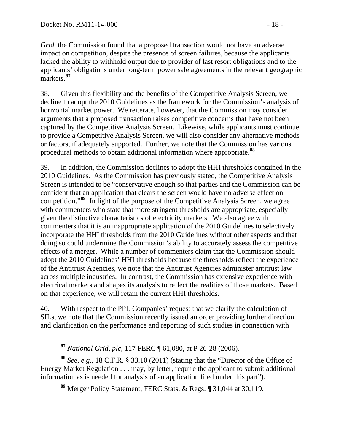*Grid*, the Commission found that a proposed transaction would not have an adverse impact on competition, despite the presence of screen failures, because the applicants lacked the ability to withhold output due to provider of last resort obligations and to the applicants' obligations under long-term power sale agreements in the relevant geographic markets.**<sup>87</sup>**

38. Given this flexibility and the benefits of the Competitive Analysis Screen, we decline to adopt the 2010 Guidelines as the framework for the Commission's analysis of horizontal market power. We reiterate, however, that the Commission may consider arguments that a proposed transaction raises competitive concerns that have not been captured by the Competitive Analysis Screen. Likewise, while applicants must continue to provide a Competitive Analysis Screen, we will also consider any alternative methods or factors, if adequately supported. Further, we note that the Commission has various procedural methods to obtain additional information where appropriate.**[88](#page-17-0)**

39. In addition, the Commission declines to adopt the HHI thresholds contained in the 2010 Guidelines. As the Commission has previously stated, the Competitive Analysis Screen is intended to be "conservative enough so that parties and the Commission can be confident that an application that clears the screen would have no adverse effect on competition."**[89](#page-17-1)** In light of the purpose of the Competitive Analysis Screen, we agree with commenters who state that more stringent thresholds are appropriate, especially given the distinctive characteristics of electricity markets. We also agree with commenters that it is an inappropriate application of the 2010 Guidelines to selectively incorporate the HHI thresholds from the 2010 Guidelines without other aspects and that doing so could undermine the Commission's ability to accurately assess the competitive effects of a merger. While a number of commenters claim that the Commission should adopt the 2010 Guidelines' HHI thresholds because the thresholds reflect the experience of the Antitrust Agencies, we note that the Antitrust Agencies administer antitrust law across multiple industries. In contrast, the Commission has extensive experience with electrical markets and shapes its analysis to reflect the realities of those markets. Based on that experience, we will retain the current HHI thresholds.

40. With respect to the PPL Companies' request that we clarify the calculation of SILs, we note that the Commission recently issued an order providing further direction and clarification on the performance and reporting of such studies in connection with

**<sup>87</sup>** *National Grid, plc*, 117 FERC ¶ 61,080, at P 26-28 (2006).

<span id="page-17-1"></span><span id="page-17-0"></span>**<sup>88</sup>** *See*, *e.g.*, 18 C.F.R. § 33.10 (2011) (stating that the "Director of the Office of Energy Market Regulation . . . may, by letter, require the applicant to submit additional information as is needed for analysis of an application filed under this part").

**<sup>89</sup>** Merger Policy Statement, FERC Stats. & Regs. ¶ 31,044 at 30,119.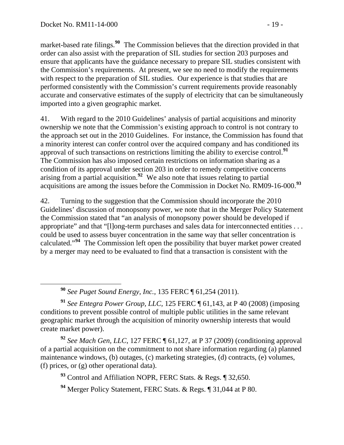market-based rate filings.**<sup>90</sup>** The Commission believes that the direction provided in that order can also assist with the preparation of SIL studies for section 203 purposes and ensure that applicants have the guidance necessary to prepare SIL studies consistent with the Commission's requirements. At present, we see no need to modify the requirements with respect to the preparation of SIL studies. Our experience is that studies that are performed consistently with the Commission's current requirements provide reasonably accurate and conservative estimates of the supply of electricity that can be simultaneously imported into a given geographic market.

41. With regard to the 2010 Guidelines' analysis of partial acquisitions and minority ownership we note that the Commission's existing approach to control is not contrary to the approach set out in the 2010 Guidelines. For instance, the Commission has found that a minority interest can confer control over the acquired company and has conditioned its approval of such transactions on restrictions limiting the ability to exercise control.**[91](#page-18-0)** The Commission has also imposed certain restrictions on information sharing as a condition of its approval under section 203 in order to remedy competitive concerns arising from a partial acquisition.**[92](#page-18-1)** We also note that issues relating to partial acquisitions are among the issues before the Commission in Docket No. RM09-16-000.**<sup>93</sup>**

42. Turning to the suggestion that the Commission should incorporate the 2010 Guidelines' discussion of monopsony power, we note that in the Merger Policy Statement the Commission stated that "an analysis of monopsony power should be developed if appropriate" and that "[l]ong-term purchases and sales data for interconnected entities . . . could be used to assess buyer concentration in the same way that seller concentration is calculated."**[94](#page-18-2)** The Commission left open the possibility that buyer market power created by a merger may need to be evaluated to find that a transaction is consistent with the

**<sup>90</sup>** *See Puget Sound Energy, Inc.*, 135 FERC ¶ 61,254 (2011).

<span id="page-18-0"></span>**<sup>91</sup>** *See Entegra Power Group, LLC,* 125 FERC ¶ 61,143, at P 40 (2008) (imposing conditions to prevent possible control of multiple public utilities in the same relevant geographic market through the acquisition of minority ownership interests that would create market power).

<span id="page-18-1"></span>**<sup>92</sup>** *See Mach Gen, LLC*, 127 FERC ¶ 61,127, at P 37 (2009) (conditioning approval of a partial acquisition on the commitment to not share information regarding (a) planned maintenance windows, (b) outages, (c) marketing strategies, (d) contracts, (e) volumes, (f) prices, or (g) other operational data).

**<sup>93</sup>** Control and Affiliation NOPR, FERC Stats. & Regs. ¶ 32,650.

<span id="page-18-2"></span>**<sup>94</sup>** Merger Policy Statement, FERC Stats. & Regs. ¶ 31,044 at P 80.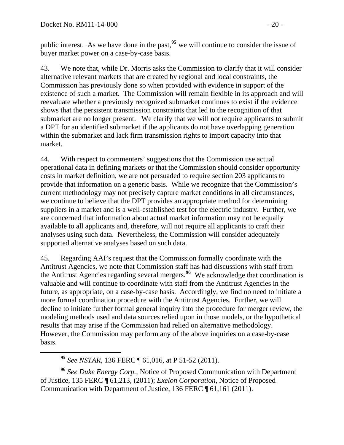public interest. As we have done in the past,**<sup>95</sup>** we will continue to consider the issue of buyer market power on a case-by-case basis.

43. We note that, while Dr. Morris asks the Commission to clarify that it will consider alternative relevant markets that are created by regional and local constraints, the Commission has previously done so when provided with evidence in support of the existence of such a market. The Commission will remain flexible in its approach and will reevaluate whether a previously recognized submarket continues to exist if the evidence shows that the persistent transmission constraints that led to the recognition of that submarket are no longer present. We clarify that we will not require applicants to submit a DPT for an identified submarket if the applicants do not have overlapping generation within the submarket and lack firm transmission rights to import capacity into that market.

44. With respect to commenters' suggestions that the Commission use actual operational data in defining markets or that the Commission should consider opportunity costs in market definition, we are not persuaded to require section 203 applicants to provide that information on a generic basis. While we recognize that the Commission's current methodology may not precisely capture market conditions in all circumstances, we continue to believe that the DPT provides an appropriate method for determining suppliers in a market and is a well-established test for the electric industry. Further, we are concerned that information about actual market information may not be equally available to all applicants and, therefore, will not require all applicants to craft their analyses using such data. Nevertheless, the Commission will consider adequately supported alternative analyses based on such data.

45. Regarding AAI's request that the Commission formally coordinate with the Antitrust Agencies, we note that Commission staff has had discussions with staff from the Antitrust Agencies regarding several mergers.**[96](#page-19-0)** We acknowledge that coordination is valuable and will continue to coordinate with staff from the Antitrust Agencies in the future, as appropriate, on a case-by-case basis. Accordingly, we find no need to initiate a more formal coordination procedure with the Antitrust Agencies. Further, we will decline to initiate further formal general inquiry into the procedure for merger review, the modeling methods used and data sources relied upon in those models, or the hypothetical results that may arise if the Commission had relied on alternative methodology. However, the Commission may perform any of the above inquiries on a case-by-case basis.

<span id="page-19-0"></span>**<sup>96</sup>** *See Duke Energy Corp.,* Notice of Proposed Communication with Department of Justice, 135 FERC ¶ 61,213, (2011); *Exelon Corporation*, Notice of Proposed Communication with Department of Justice, 136 FERC ¶ 61,161 (2011).

**<sup>95</sup>** *See NSTAR,* 136 FERC ¶ 61,016, at P 51-52 (2011).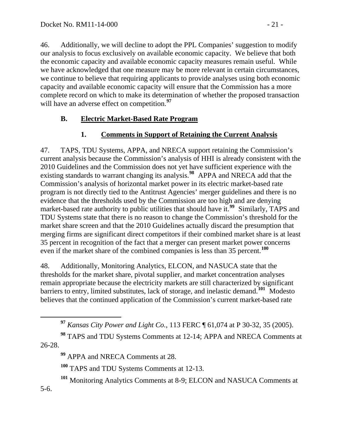46. Additionally, we will decline to adopt the PPL Companies' suggestion to modify our analysis to focus exclusively on available economic capacity. We believe that both the economic capacity and available economic capacity measures remain useful. While we have acknowledged that one measure may be more relevant in certain circumstances, we continue to believe that requiring applicants to provide analyses using both economic capacity and available economic capacity will ensure that the Commission has a more complete record on which to make its determination of whether the proposed transaction will have an adverse effect on competition.<sup>[97](#page-20-0)</sup>

## **B. Electric Market-Based Rate Program**

# **1. Comments in Support of Retaining the Current Analysis**

47. TAPS, TDU Systems, APPA, and NRECA support retaining the Commission's current analysis because the Commission's analysis of HHI is already consistent with the 2010 Guidelines and the Commission does not yet have sufficient experience with the existing standards to warrant changing its analysis.**[98](#page-20-1)** APPA and NRECA add that the Commission's analysis of horizontal market power in its electric market-based rate program is not directly tied to the Antitrust Agencies' merger guidelines and there is no evidence that the thresholds used by the Commission are too high and are denying market-based rate authority to public utilities that should have it.**[99](#page-20-2)** Similarly, TAPS and TDU Systems state that there is no reason to change the Commission's threshold for the market share screen and that the 2010 Guidelines actually discard the presumption that merging firms are significant direct competitors if their combined market share is at least 35 percent in recognition of the fact that a merger can present market power concerns even if the market share of the combined companies is less than 35 percent.**[100](#page-20-3)**

48. Additionally, Monitoring Analytics, ELCON, and NASUCA state that the thresholds for the market share, pivotal supplier, and market concentration analyses remain appropriate because the electricity markets are still characterized by significant barriers to entry, limited substitutes, lack of storage, and inelastic demand.**[101](#page-20-4)** Modesto believes that the continued application of the Commission's current market-based rate

**<sup>97</sup>** *Kansas City Power and Light Co.,* 113 FERC ¶ 61,074 at P 30-32, 35 (2005).

<span id="page-20-2"></span><span id="page-20-1"></span><span id="page-20-0"></span>**<sup>98</sup>** TAPS and TDU Systems Comments at 12-14; APPA and NRECA Comments at 26-28.

**<sup>99</sup>** APPA and NRECA Comments at 28.

**<sup>100</sup>** TAPS and TDU Systems Comments at 12-13.

**<sup>101</sup>** Monitoring Analytics Comments at 8-9; ELCON and NASUCA Comments at

<span id="page-20-4"></span><span id="page-20-3"></span>5-6.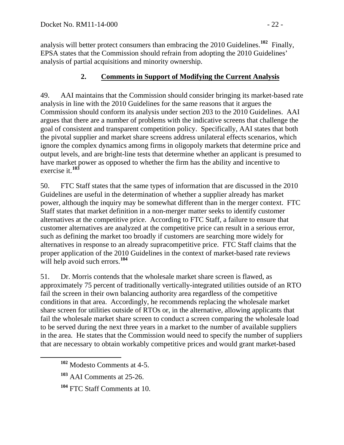analysis will better protect consumers than embracing the 2010 Guidelines.**<sup>102</sup>** Finally, EPSA states that the Commission should refrain from adopting the 2010 Guidelines' analysis of partial acquisitions and minority ownership.

# **2. Comments in Support of Modifying the Current Analysis**

49. AAI maintains that the Commission should consider bringing its market-based rate analysis in line with the 2010 Guidelines for the same reasons that it argues the Commission should conform its analysis under section 203 to the 2010 Guidelines. AAI argues that there are a number of problems with the indicative screens that challenge the goal of consistent and transparent competition policy. Specifically, AAI states that both the pivotal supplier and market share screens address unilateral effects scenarios, which ignore the complex dynamics among firms in oligopoly markets that determine price and output levels, and are bright-line tests that determine whether an applicant is presumed to have market power as opposed to whether the firm has the ability and incentive to exercise it.**[103](#page-21-0)**

50. FTC Staff states that the same types of information that are discussed in the 2010 Guidelines are useful in the determination of whether a supplier already has market power, although the inquiry may be somewhat different than in the merger context. FTC Staff states that market definition in a non-merger matter seeks to identify customer alternatives at the competitive price. According to FTC Staff, a failure to ensure that customer alternatives are analyzed at the competitive price can result in a serious error, such as defining the market too broadly if customers are searching more widely for alternatives in response to an already supracompetitive price. FTC Staff claims that the proper application of the 2010 Guidelines in the context of market-based rate reviews will help avoid such errors.<sup>[104](#page-21-1)</sup>

51. Dr. Morris contends that the wholesale market share screen is flawed, as approximately 75 percent of traditionally vertically-integrated utilities outside of an RTO fail the screen in their own balancing authority area regardless of the competitive conditions in that area. Accordingly, he recommends replacing the wholesale market share screen for utilities outside of RTOs or, in the alternative, allowing applicants that fail the wholesale market share screen to conduct a screen comparing the wholesale load to be served during the next three years in a market to the number of available suppliers in the area. He states that the Commission would need to specify the number of suppliers that are necessary to obtain workably competitive prices and would grant market-based

**<sup>102</sup>** Modesto Comments at 4-5.

<span id="page-21-0"></span>**<sup>103</sup>** AAI Comments at 25-26.

<span id="page-21-1"></span>**<sup>104</sup>** FTC Staff Comments at 10.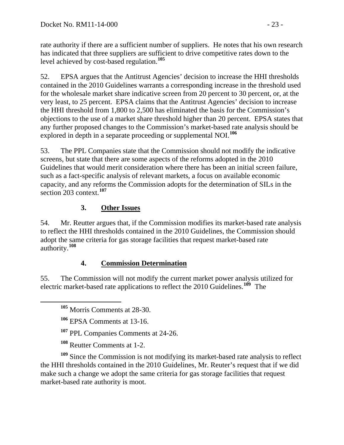rate authority if there are a sufficient number of suppliers. He notes that his own research has indicated that three suppliers are sufficient to drive competitive rates down to the level achieved by cost-based regulation.**<sup>105</sup>**

52. EPSA argues that the Antitrust Agencies' decision to increase the HHI thresholds contained in the 2010 Guidelines warrants a corresponding increase in the threshold used for the wholesale market share indicative screen from 20 percent to 30 percent, or, at the very least, to 25 percent. EPSA claims that the Antitrust Agencies' decision to increase the HHI threshold from 1,800 to 2,500 has eliminated the basis for the Commission's objections to the use of a market share threshold higher than 20 percent. EPSA states that any further proposed changes to the Commission's market-based rate analysis should be explored in depth in a separate proceeding or supplemental NOI.**[106](#page-22-0)**

53. The PPL Companies state that the Commission should not modify the indicative screens, but state that there are some aspects of the reforms adopted in the 2010 Guidelines that would merit consideration where there has been an initial screen failure, such as a fact-specific analysis of relevant markets, a focus on available economic capacity, and any reforms the Commission adopts for the determination of SILs in the section 203 context.**[107](#page-22-1)**

## **3. Other Issues**

54. Mr. Reutter argues that, if the Commission modifies its market-based rate analysis to reflect the HHI thresholds contained in the 2010 Guidelines, the Commission should adopt the same criteria for gas storage facilities that request market-based rate authority.**[108](#page-22-2)**

## **4. Commission Determination**

55. The Commission will not modify the current market power analysis utilized for electric market-based rate applications to reflect the 2010 Guidelines.**[109](#page-22-3)** The

**<sup>105</sup>** Morris Comments at 28-30.

**<sup>106</sup>** EPSA Comments at 13-16.

**<sup>107</sup>** PPL Companies Comments at 24-26.

**<sup>108</sup>** Reutter Comments at 1-2.

<span id="page-22-3"></span><span id="page-22-2"></span><span id="page-22-1"></span><span id="page-22-0"></span>**<sup>109</sup>** Since the Commission is not modifying its market-based rate analysis to reflect the HHI thresholds contained in the 2010 Guidelines, Mr. Reuter's request that if we did make such a change we adopt the same criteria for gas storage facilities that request market-based rate authority is moot.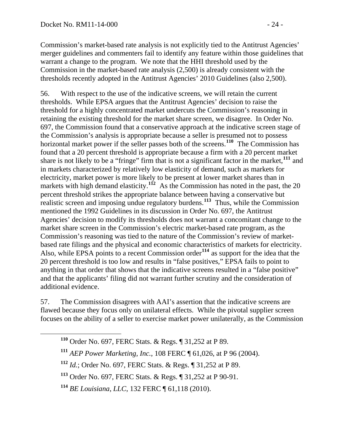Commission's market-based rate analysis is not explicitly tied to the Antitrust Agencies' merger guidelines and commenters fail to identify any feature within those guidelines that warrant a change to the program. We note that the HHI threshold used by the Commission in the market-based rate analysis (2,500) is already consistent with the thresholds recently adopted in the Antitrust Agencies' 2010 Guidelines (also 2,500).

56. With respect to the use of the indicative screens, we will retain the current thresholds. While EPSA argues that the Antitrust Agencies' decision to raise the threshold for a highly concentrated market undercuts the Commission's reasoning in retaining the existing threshold for the market share screen, we disagree. In Order No. 697, the Commission found that a conservative approach at the indicative screen stage of the Commission's analysis is appropriate because a seller is presumed not to possess horizontal market power if the seller passes both of the screens.**[110](#page-23-0)** The Commission has found that a 20 percent threshold is appropriate because a firm with a 20 percent market share is not likely to be a "fringe" firm that is not a significant factor in the market,**[111](#page-23-1)** and in markets characterized by relatively low elasticity of demand, such as markets for electricity, market power is more likely to be present at lower market shares than in markets with high demand elasticity.<sup> $112$ </sup> As the Commission has noted in the past, the 20 percent threshold strikes the appropriate balance between having a conservative but realistic screen and imposing undue regulatory burdens.**[113](#page-23-3)** Thus, while the Commission mentioned the 1992 Guidelines in its discussion in Order No. 697, the Antitrust Agencies' decision to modify its thresholds does not warrant a concomitant change to the market share screen in the Commission's electric market-based rate program, as the Commission's reasoning was tied to the nature of the Commission's review of marketbased rate filings and the physical and economic characteristics of markets for electricity. Also, while EPSA points to a recent Commission order**[114](#page-23-4)** as support for the idea that the 20 percent threshold is too low and results in "false positives," EPSA fails to point to anything in that order that shows that the indicative screens resulted in a "false positive" and that the applicants' filing did not warrant further scrutiny and the consideration of additional evidence.

<span id="page-23-0"></span>57. The Commission disagrees with AAI's assertion that the indicative screens are flawed because they focus only on unilateral effects. While the pivotal supplier screen focuses on the ability of a seller to exercise market power unilaterally, as the Commission

- **<sup>110</sup>** Order No. 697, FERC Stats. & Regs. ¶ 31,252 at P 89.
- <span id="page-23-1"></span>**<sup>111</sup>** *AEP Power Marketing, Inc.*, 108 FERC ¶ 61,026, at P 96 (2004).
- <span id="page-23-2"></span>**<sup>112</sup>** *Id.*; Order No. 697, FERC Stats. & Regs. ¶ 31,252 at P 89.

<span id="page-23-3"></span>**<sup>113</sup>** Order No. 697, FERC Stats. & Regs. ¶ 31,252 at P 90-91.

<span id="page-23-4"></span>**<sup>114</sup>** *BE Louisiana*, *LLC*, 132 FERC ¶ 61,118 (2010).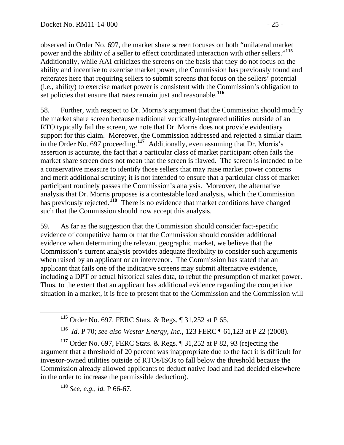observed in Order No. 697, the market share screen focuses on both "unilateral market power and the ability of a seller to effect coordinated interaction with other sellers."**<sup>115</sup>** Additionally, while AAI criticizes the screens on the basis that they do not focus on the ability and incentive to exercise market power, the Commission has previously found and reiterates here that requiring sellers to submit screens that focus on the sellers' potential (i.e., ability) to exercise market power is consistent with the Commission's obligation to set policies that ensure that rates remain just and reasonable.**<sup>116</sup>**

58. Further, with respect to Dr. Morris's argument that the Commission should modify the market share screen because traditional vertically-integrated utilities outside of an RTO typically fail the screen, we note that Dr. Morris does not provide evidentiary support for this claim.Moreover, the Commission addressed and rejected a similar claim in the Order No. 697 proceeding.**[117](#page-24-0)** Additionally, even assuming that Dr. Morris's assertion is accurate, the fact that a particular class of market participant often fails the market share screen does not mean that the screen is flawed. The screen is intended to be a conservative measure to identify those sellers that may raise market power concerns and merit additional scrutiny; it is not intended to ensure that a particular class of market participant routinely passes the Commission's analysis. Moreover, the alternative analysis that Dr. Morris proposes is a contestable load analysis, which the Commission has previously rejected.<sup>[118](#page-24-1)</sup> There is no evidence that market conditions have changed such that the Commission should now accept this analysis.

59. As far as the suggestion that the Commission should consider fact-specific evidence of competitive harm or that the Commission should consider additional evidence when determining the relevant geographic market, we believe that the Commission's current analysis provides adequate flexibility to consider such arguments when raised by an applicant or an intervenor. The Commission has stated that an applicant that fails one of the indicative screens may submit alternative evidence, including a DPT or actual historical sales data, to rebut the presumption of market power. Thus, to the extent that an applicant has additional evidence regarding the competitive situation in a market, it is free to present that to the Commission and the Commission will

<span id="page-24-0"></span>**<sup>117</sup>** Order No. 697, FERC Stats. & Regs. ¶ 31,252 at P 82, 93 (rejecting the argument that a threshold of 20 percent was inappropriate due to the fact it is difficult for investor-owned utilities outside of RTOs/ISOs to fall below the threshold because the Commission already allowed applicants to deduct native load and had decided elsewhere in the order to increase the permissible deduction).

<span id="page-24-1"></span>**<sup>118</sup>** *See, e.g., id.* P 66-67.

**<sup>115</sup>** Order No. 697, FERC Stats. & Regs. ¶ 31,252 at P 65.

**<sup>116</sup>** *Id.* P 70; *see also Westar Energy, Inc.*, 123 FERC ¶ 61,123 at P 22 (2008).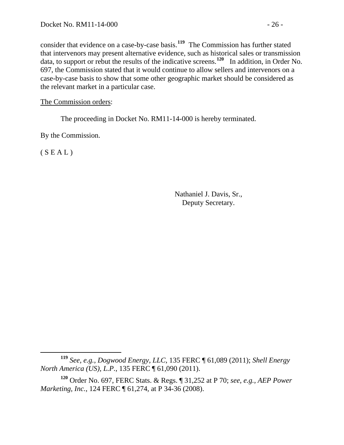consider that evidence on a case-by-case basis.**<sup>119</sup>** The Commission has further stated that intervenors may present alternative evidence, such as historical sales or transmiss ion data, to support or rebut the results of the indicative screens. **<sup>120</sup>** In addition, in Order No. 697, the Commission stated that it would continue to allow sellers and intervenors on a case-by-case basis to show that some other geographic market should be considered as the relevant market in a particular case.

The Commission orders:

The proceeding in Docket No. RM11-14-000 is hereby terminated.

By the Commission.

 $(S E A L)$ 

Nathaniel J. Davis, Sr., Deputy Secretary.

**<sup>119</sup>** *See, e.g., Dogwood Energy, LLC*, 135 FERC ¶ 61,089 (2011); *Shell Energy North America (US), L.P.*, 135 FERC ¶ 61,090 (2011).

**<sup>120</sup>** Order No. 697, FERC Stats. & Regs. ¶ 31,252 at P 70; *see, e.g., AEP Power Marketing, Inc.*, 124 FERC ¶ 61,274, at P 34-36 (2008).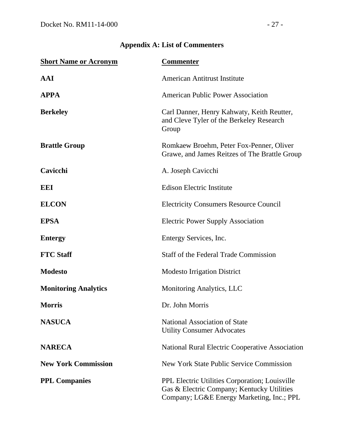| <b>Short Name or Acronym</b> | <b>Commenter</b>                                                                                                                                 |
|------------------------------|--------------------------------------------------------------------------------------------------------------------------------------------------|
| AAI                          | <b>American Antitrust Institute</b>                                                                                                              |
| <b>APPA</b>                  | <b>American Public Power Association</b>                                                                                                         |
| <b>Berkeley</b>              | Carl Danner, Henry Kahwaty, Keith Reutter,<br>and Cleve Tyler of the Berkeley Research<br>Group                                                  |
| <b>Brattle Group</b>         | Romkaew Broehm, Peter Fox-Penner, Oliver<br>Grawe, and James Reitzes of The Brattle Group                                                        |
| Cavicchi                     | A. Joseph Cavicchi                                                                                                                               |
| <b>EEI</b>                   | <b>Edison Electric Institute</b>                                                                                                                 |
| <b>ELCON</b>                 | <b>Electricity Consumers Resource Council</b>                                                                                                    |
| <b>EPSA</b>                  | <b>Electric Power Supply Association</b>                                                                                                         |
| <b>Entergy</b>               | Entergy Services, Inc.                                                                                                                           |
| <b>FTC</b> Staff             | <b>Staff of the Federal Trade Commission</b>                                                                                                     |
| <b>Modesto</b>               | <b>Modesto Irrigation District</b>                                                                                                               |
| <b>Monitoring Analytics</b>  | <b>Monitoring Analytics, LLC</b>                                                                                                                 |
| <b>Morris</b>                | Dr. John Morris                                                                                                                                  |
| <b>NASUCA</b>                | <b>National Association of State</b><br><b>Utility Consumer Advocates</b>                                                                        |
| <b>NARECA</b>                | <b>National Rural Electric Cooperative Association</b>                                                                                           |
| <b>New York Commission</b>   | <b>New York State Public Service Commission</b>                                                                                                  |
| <b>PPL Companies</b>         | <b>PPL Electric Utilities Corporation; Louisville</b><br>Gas & Electric Company; Kentucky Utilities<br>Company; LG&E Energy Marketing, Inc.; PPL |

# **Appendix A: List of Commenters**